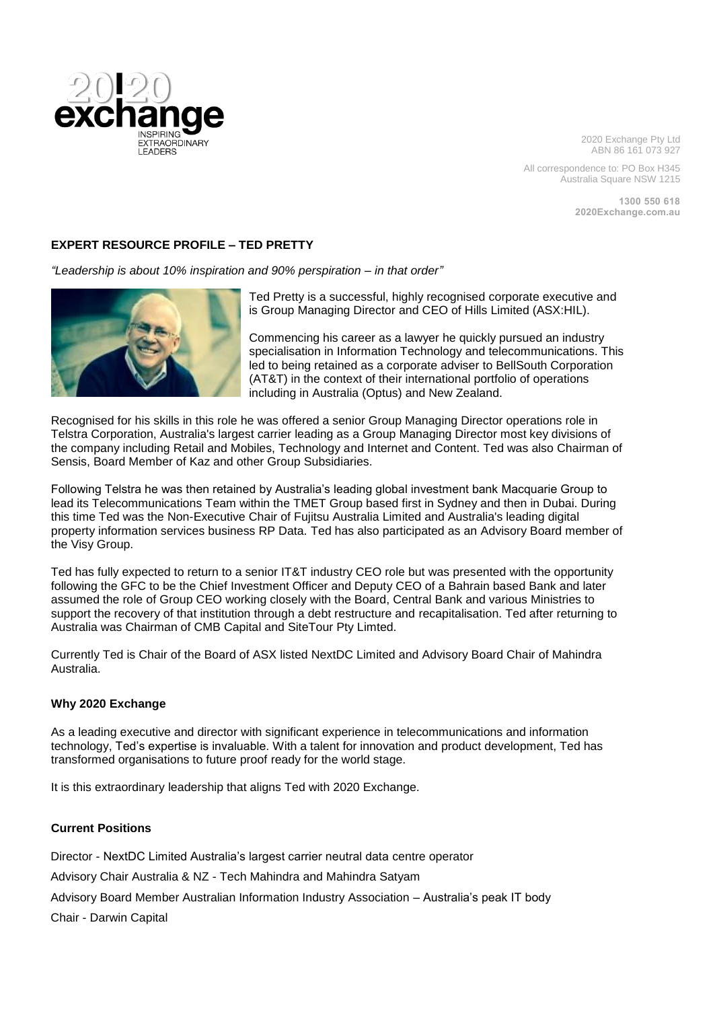

2020 Exchange Pty Ltd ABN 86 161 073 927

All correspondence to: PO Box H345 Australia Square NSW 1215

> **1300 550 618 2020Exchange.com.au**

## **EXPERT RESOURCE PROFILE – TED PRETTY**

*"Leadership is about 10% inspiration and 90% perspiration – in that order"*



Ted Pretty is a successful, highly recognised corporate executive and is Group Managing Director and CEO of Hills Limited (ASX:HIL).

Commencing his career as a lawyer he quickly pursued an industry specialisation in Information Technology and telecommunications. This led to being retained as a corporate adviser to BellSouth Corporation (AT&T) in the context of their international portfolio of operations including in Australia (Optus) and New Zealand.

Recognised for his skills in this role he was offered a senior Group Managing Director operations role in Telstra Corporation, Australia's largest carrier leading as a Group Managing Director most key divisions of the company including Retail and Mobiles, Technology and Internet and Content. Ted was also Chairman of Sensis, Board Member of Kaz and other Group Subsidiaries.

Following Telstra he was then retained by Australia's leading global investment bank Macquarie Group to lead its Telecommunications Team within the TMET Group based first in Sydney and then in Dubai. During this time Ted was the Non-Executive Chair of Fujitsu Australia Limited and Australia's leading digital property information services business RP Data. Ted has also participated as an Advisory Board member of the Visy Group.

Ted has fully expected to return to a senior IT&T industry CEO role but was presented with the opportunity following the GFC to be the Chief Investment Officer and Deputy CEO of a Bahrain based Bank and later assumed the role of Group CEO working closely with the Board, Central Bank and various Ministries to support the recovery of that institution through a debt restructure and recapitalisation. Ted after returning to Australia was Chairman of CMB Capital and SiteTour Pty Limted.

Currently Ted is Chair of the Board of ASX listed NextDC Limited and Advisory Board Chair of Mahindra Australia.

### **Why 2020 Exchange**

As a leading executive and director with significant experience in telecommunications and information technology, Ted's expertise is invaluable. With a talent for innovation and product development, Ted has transformed organisations to future proof ready for the world stage.

It is this extraordinary leadership that aligns Ted with 2020 Exchange.

#### **Current Positions**

Director - NextDC Limited Australia's largest carrier neutral data centre operator

Advisory Chair Australia & NZ - Tech Mahindra and Mahindra Satyam

Advisory Board Member Australian Information Industry Association – Australia's peak IT body

Chair - Darwin Capital